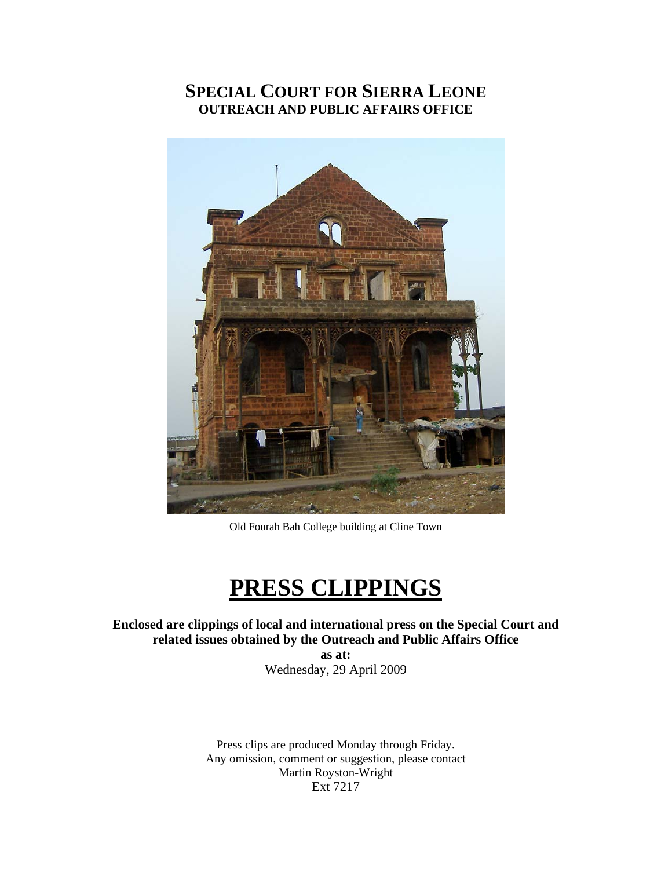# **SPECIAL COURT FOR SIERRA LEONE OUTREACH AND PUBLIC AFFAIRS OFFICE**



Old Fourah Bah College building at Cline Town

# **PRESS CLIPPINGS**

#### **Enclosed are clippings of local and international press on the Special Court and related issues obtained by the Outreach and Public Affairs Office**

**as at:**  Wednesday, 29 April 2009

Press clips are produced Monday through Friday. Any omission, comment or suggestion, please contact Martin Royston-Wright Ext 7217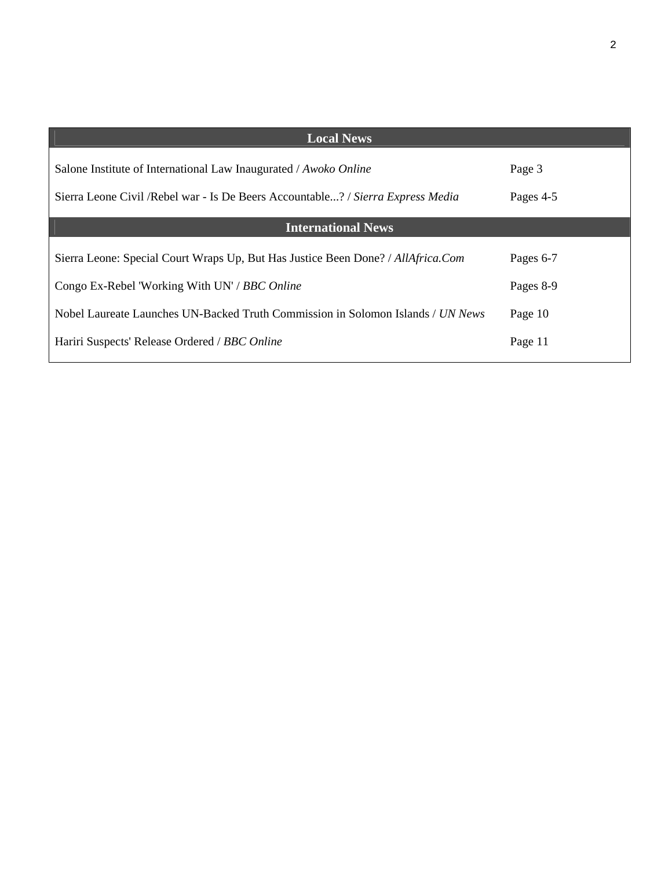| <b>Local News</b>                                                                |           |
|----------------------------------------------------------------------------------|-----------|
| Salone Institute of International Law Inaugurated / Awoko Online                 | Page 3    |
| Sierra Leone Civil / Rebel war - Is De Beers Accountable? / Sierra Express Media | Pages 4-5 |
| <b>International News</b>                                                        |           |
| Sierra Leone: Special Court Wraps Up, But Has Justice Been Done? / AllAfrica.Com | Pages 6-7 |
| Congo Ex-Rebel 'Working With UN' / BBC Online                                    | Pages 8-9 |
| Nobel Laureate Launches UN-Backed Truth Commission in Solomon Islands / UN News  | Page 10   |
| Hariri Suspects' Release Ordered / BBC Online                                    | Page 11   |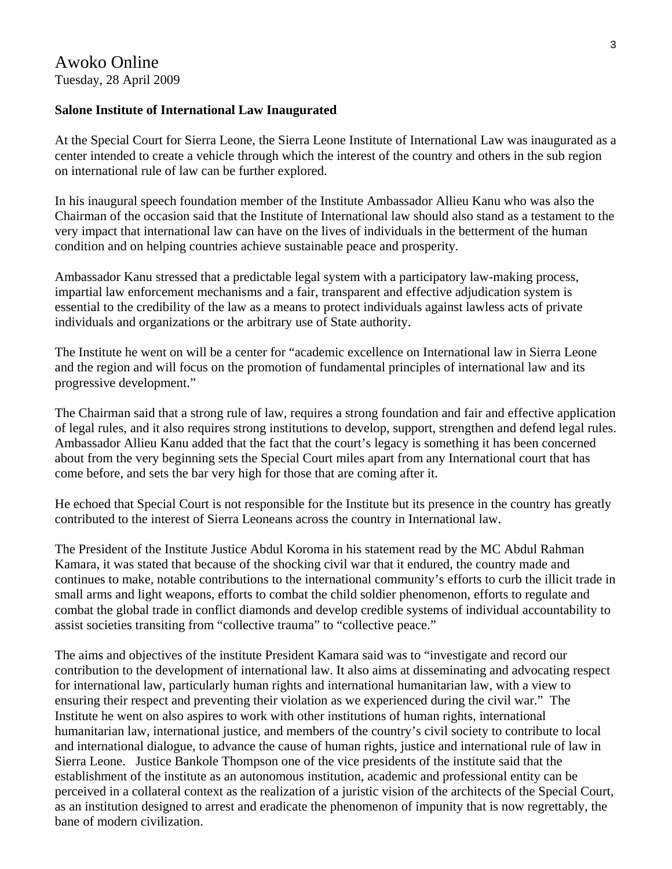#### **Salone Institute of International Law Inaugurated**

At the Special Court for Sierra Leone, the Sierra Leone Institute of International Law was inaugurated as a center intended to create a vehicle through which the interest of the country and others in the sub region on international rule of law can be further explored.

In his inaugural speech foundation member of the Institute Ambassador Allieu Kanu who was also the Chairman of the occasion said that the Institute of International law should also stand as a testament to the very impact that international law can have on the lives of individuals in the betterment of the human condition and on helping countries achieve sustainable peace and prosperity.

Ambassador Kanu stressed that a predictable legal system with a participatory law-making process, impartial law enforcement mechanisms and a fair, transparent and effective adjudication system is essential to the credibility of the law as a means to protect individuals against lawless acts of private individuals and organizations or the arbitrary use of State authority.

The Institute he went on will be a center for "academic excellence on International law in Sierra Leone and the region and will focus on the promotion of fundamental principles of international law and its progressive development."

The Chairman said that a strong rule of law, requires a strong foundation and fair and effective application of legal rules, and it also requires strong institutions to develop, support, strengthen and defend legal rules. Ambassador Allieu Kanu added that the fact that the court's legacy is something it has been concerned about from the very beginning sets the Special Court miles apart from any International court that has come before, and sets the bar very high for those that are coming after it.

He echoed that Special Court is not responsible for the Institute but its presence in the country has greatly contributed to the interest of Sierra Leoneans across the country in International law.

The President of the Institute Justice Abdul Koroma in his statement read by the MC Abdul Rahman Kamara, it was stated that because of the shocking civil war that it endured, the country made and continues to make, notable contributions to the international community's efforts to curb the illicit trade in small arms and light weapons, efforts to combat the child soldier phenomenon, efforts to regulate and combat the global trade in conflict diamonds and develop credible systems of individual accountability to assist societies transiting from "collective trauma" to "collective peace."

The aims and objectives of the institute President Kamara said was to "investigate and record our contribution to the development of international law. It also aims at disseminating and advocating respect for international law, particularly human rights and international humanitarian law, with a view to ensuring their respect and preventing their violation as we experienced during the civil war." The Institute he went on also aspires to work with other institutions of human rights, international humanitarian law, international justice, and members of the country's civil society to contribute to local and international dialogue, to advance the cause of human rights, justice and international rule of law in Sierra Leone. Justice Bankole Thompson one of the vice presidents of the institute said that the establishment of the institute as an autonomous institution, academic and professional entity can be perceived in a collateral context as the realization of a juristic vision of the architects of the Special Court, as an institution designed to arrest and eradicate the phenomenon of impunity that is now regrettably, the bane of modern civilization.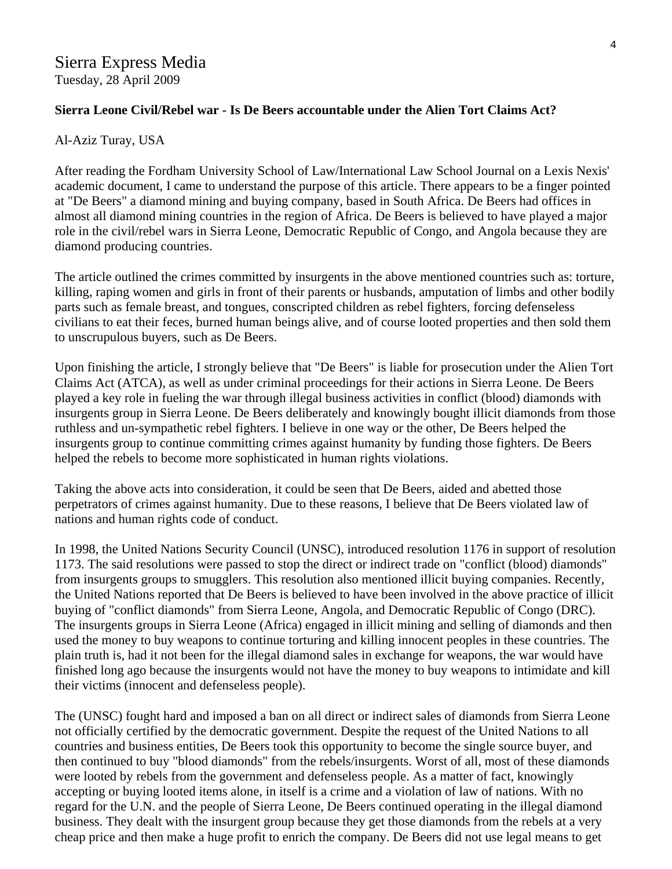# Sierra Express Media

Tuesday, 28 April 2009

#### **Sierra Leone Civil/Rebel war - Is De Beers accountable under the Alien Tort Claims Act?**

#### Al-Aziz Turay, USA

After reading the Fordham University School of Law/International Law School Journal on a Lexis Nexis' academic document, I came to understand the purpose of this article. There appears to be a finger pointed at "De Beers" a diamond mining and buying company, based in South Africa. De Beers had offices in almost all diamond mining countries in the region of Africa. De Beers is believed to have played a major role in the civil/rebel wars in Sierra Leone, Democratic Republic of Congo, and Angola because they are diamond producing countries.

The article outlined the crimes committed by insurgents in the above mentioned countries such as: torture, killing, raping women and girls in front of their parents or husbands, amputation of limbs and other bodily parts such as female breast, and tongues, conscripted children as rebel fighters, forcing defenseless civilians to eat their feces, burned human beings alive, and of course looted properties and then sold them to unscrupulous buyers, such as De Beers.

Upon finishing the article, I strongly believe that "De Beers" is liable for prosecution under the Alien Tort Claims Act (ATCA), as well as under criminal proceedings for their actions in Sierra Leone. De Beers played a key role in fueling the war through illegal business activities in conflict (blood) diamonds with insurgents group in Sierra Leone. De Beers deliberately and knowingly bought illicit diamonds from those ruthless and un-sympathetic rebel fighters. I believe in one way or the other, De Beers helped the insurgents group to continue committing crimes against humanity by funding those fighters. De Beers helped the rebels to become more sophisticated in human rights violations.

Taking the above acts into consideration, it could be seen that De Beers, aided and abetted those perpetrators of crimes against humanity. Due to these reasons, I believe that De Beers violated law of nations and human rights code of conduct.

In 1998, the United Nations Security Council (UNSC), introduced resolution 1176 in support of resolution 1173. The said resolutions were passed to stop the direct or indirect trade on "conflict (blood) diamonds" from insurgents groups to smugglers. This resolution also mentioned illicit buying companies. Recently, the United Nations reported that De Beers is believed to have been involved in the above practice of illicit buying of "conflict diamonds" from Sierra Leone, Angola, and Democratic Republic of Congo (DRC). The insurgents groups in Sierra Leone (Africa) engaged in illicit mining and selling of diamonds and then used the money to buy weapons to continue torturing and killing innocent peoples in these countries. The plain truth is, had it not been for the illegal diamond sales in exchange for weapons, the war would have finished long ago because the insurgents would not have the money to buy weapons to intimidate and kill their victims (innocent and defenseless people).

The (UNSC) fought hard and imposed a ban on all direct or indirect sales of diamonds from Sierra Leone not officially certified by the democratic government. Despite the request of the United Nations to all countries and business entities, De Beers took this opportunity to become the single source buyer, and then continued to buy "blood diamonds" from the rebels/insurgents. Worst of all, most of these diamonds were looted by rebels from the government and defenseless people. As a matter of fact, knowingly accepting or buying looted items alone, in itself is a crime and a violation of law of nations. With no regard for the U.N. and the people of Sierra Leone, De Beers continued operating in the illegal diamond business. They dealt with the insurgent group because they get those diamonds from the rebels at a very cheap price and then make a huge profit to enrich the company. De Beers did not use legal means to get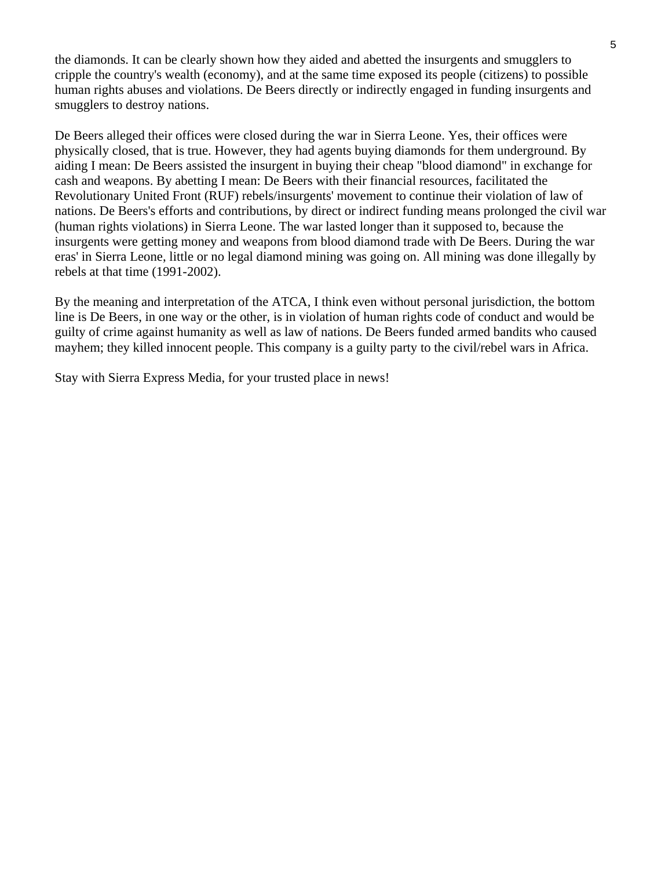the diamonds. It can be clearly shown how they aided and abetted the insurgents and smugglers to cripple the country's wealth (economy), and at the same time exposed its people (citizens) to possible human rights abuses and violations. De Beers directly or indirectly engaged in funding insurgents and smugglers to destroy nations.

De Beers alleged their offices were closed during the war in Sierra Leone. Yes, their offices were physically closed, that is true. However, they had agents buying diamonds for them underground. By aiding I mean: De Beers assisted the insurgent in buying their cheap "blood diamond" in exchange for cash and weapons. By abetting I mean: De Beers with their financial resources, facilitated the Revolutionary United Front (RUF) rebels/insurgents' movement to continue their violation of law of nations. De Beers's efforts and contributions, by direct or indirect funding means prolonged the civil war (human rights violations) in Sierra Leone. The war lasted longer than it supposed to, because the insurgents were getting money and weapons from blood diamond trade with De Beers. During the war eras' in Sierra Leone, little or no legal diamond mining was going on. All mining was done illegally by rebels at that time (1991-2002).

By the meaning and interpretation of the ATCA, I think even without personal jurisdiction, the bottom line is De Beers, in one way or the other, is in violation of human rights code of conduct and would be guilty of crime against humanity as well as law of nations. De Beers funded armed bandits who caused mayhem; they killed innocent people. This company is a guilty party to the civil/rebel wars in Africa.

Stay with Sierra Express Media, for your trusted place in news!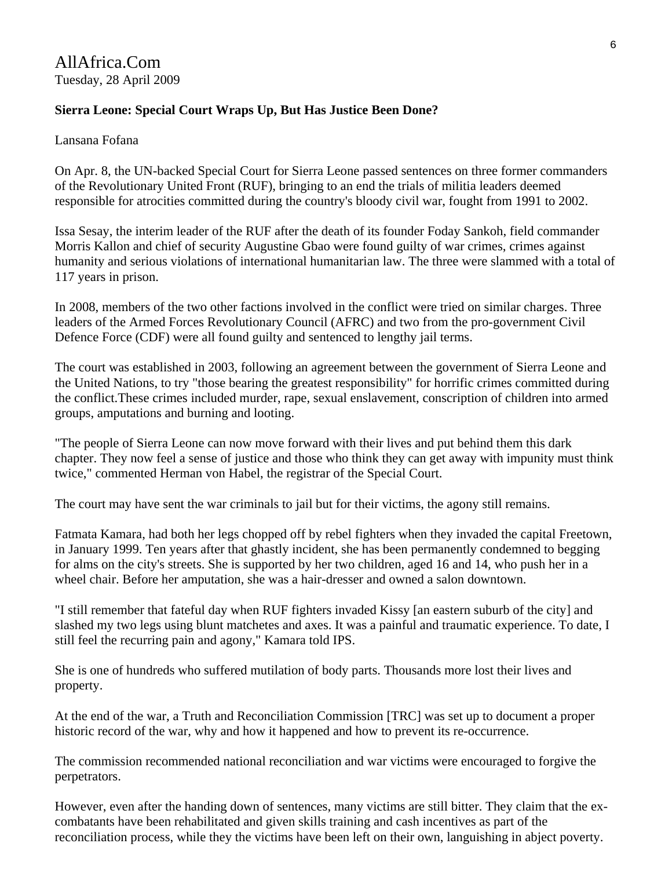### **Sierra Leone: Special Court Wraps Up, But Has Justice Been Done?**

Lansana Fofana

On Apr. 8, the UN-backed Special Court for Sierra Leone passed sentences on three former commanders of the Revolutionary United Front (RUF), bringing to an end the trials of militia leaders deemed responsible for atrocities committed during the country's bloody civil war, fought from 1991 to 2002.

Issa Sesay, the interim leader of the RUF after the death of its founder Foday Sankoh, field commander Morris Kallon and chief of security Augustine Gbao were found guilty of war crimes, crimes against humanity and serious violations of international humanitarian law. The three were slammed with a total of 117 years in prison.

In 2008, members of the two other factions involved in the conflict were tried on similar charges. Three leaders of the Armed Forces Revolutionary Council (AFRC) and two from the pro-government Civil Defence Force (CDF) were all found guilty and sentenced to lengthy jail terms.

The court was established in 2003, following an agreement between the government of Sierra Leone and the United Nations, to try "those bearing the greatest responsibility" for horrific crimes committed during the conflict.These crimes included murder, rape, sexual enslavement, conscription of children into armed groups, amputations and burning and looting.

"The people of Sierra Leone can now move forward with their lives and put behind them this dark chapter. They now feel a sense of justice and those who think they can get away with impunity must think twice," commented Herman von Habel, the registrar of the Special Court.

The court may have sent the war criminals to jail but for their victims, the agony still remains.

Fatmata Kamara, had both her legs chopped off by rebel fighters when they invaded the capital Freetown, in January 1999. Ten years after that ghastly incident, she has been permanently condemned to begging for alms on the city's streets. She is supported by her two children, aged 16 and 14, who push her in a wheel chair. Before her amputation, she was a hair-dresser and owned a salon downtown.

"I still remember that fateful day when RUF fighters invaded Kissy [an eastern suburb of the city] and slashed my two legs using blunt matchetes and axes. It was a painful and traumatic experience. To date, I still feel the recurring pain and agony," Kamara told IPS.

She is one of hundreds who suffered mutilation of body parts. Thousands more lost their lives and property.

At the end of the war, a Truth and Reconciliation Commission [TRC] was set up to document a proper historic record of the war, why and how it happened and how to prevent its re-occurrence.

The commission recommended national reconciliation and war victims were encouraged to forgive the perpetrators.

However, even after the handing down of sentences, many victims are still bitter. They claim that the excombatants have been rehabilitated and given skills training and cash incentives as part of the reconciliation process, while they the victims have been left on their own, languishing in abject poverty.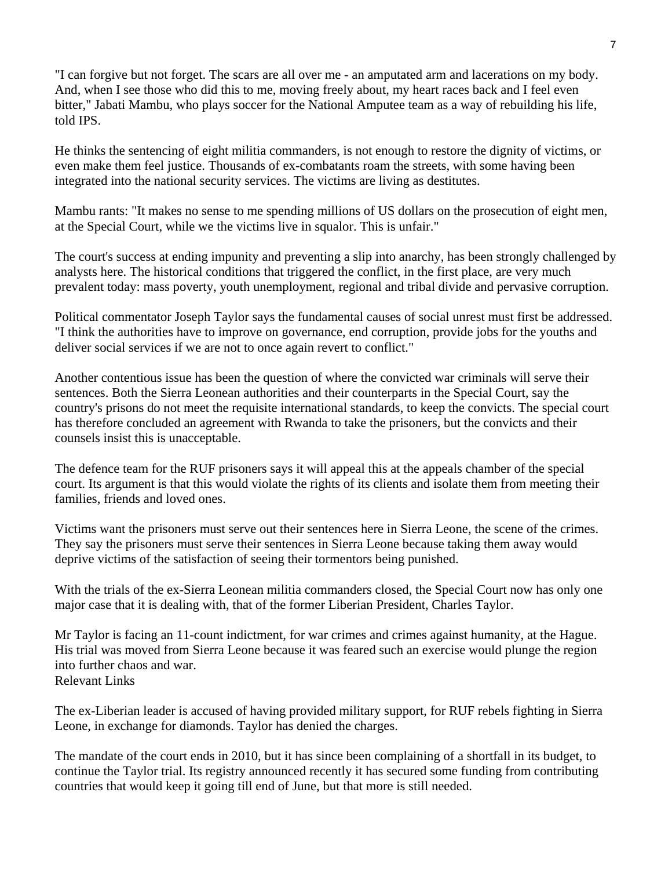"I can forgive but not forget. The scars are all over me - an amputated arm and lacerations on my body. And, when I see those who did this to me, moving freely about, my heart races back and I feel even bitter," Jabati Mambu, who plays soccer for the National Amputee team as a way of rebuilding his life, told IPS.

He thinks the sentencing of eight militia commanders, is not enough to restore the dignity of victims, or even make them feel justice. Thousands of ex-combatants roam the streets, with some having been integrated into the national security services. The victims are living as destitutes.

Mambu rants: "It makes no sense to me spending millions of US dollars on the prosecution of eight men, at the Special Court, while we the victims live in squalor. This is unfair."

The court's success at ending impunity and preventing a slip into anarchy, has been strongly challenged by analysts here. The historical conditions that triggered the conflict, in the first place, are very much prevalent today: mass poverty, youth unemployment, regional and tribal divide and pervasive corruption.

Political commentator Joseph Taylor says the fundamental causes of social unrest must first be addressed. "I think the authorities have to improve on governance, end corruption, provide jobs for the youths and deliver social services if we are not to once again revert to conflict."

Another contentious issue has been the question of where the convicted war criminals will serve their sentences. Both the Sierra Leonean authorities and their counterparts in the Special Court, say the country's prisons do not meet the requisite international standards, to keep the convicts. The special court has therefore concluded an agreement with Rwanda to take the prisoners, but the convicts and their counsels insist this is unacceptable.

The defence team for the RUF prisoners says it will appeal this at the appeals chamber of the special court. Its argument is that this would violate the rights of its clients and isolate them from meeting their families, friends and loved ones.

Victims want the prisoners must serve out their sentences here in Sierra Leone, the scene of the crimes. They say the prisoners must serve their sentences in Sierra Leone because taking them away would deprive victims of the satisfaction of seeing their tormentors being punished.

With the trials of the ex-Sierra Leonean militia commanders closed, the Special Court now has only one major case that it is dealing with, that of the former Liberian President, Charles Taylor.

Mr Taylor is facing an 11-count indictment, for war crimes and crimes against humanity, at the Hague. His trial was moved from Sierra Leone because it was feared such an exercise would plunge the region into further chaos and war. Relevant Links

The ex-Liberian leader is accused of having provided military support, for RUF rebels fighting in Sierra Leone, in exchange for diamonds. Taylor has denied the charges.

The mandate of the court ends in 2010, but it has since been complaining of a shortfall in its budget, to continue the Taylor trial. Its registry announced recently it has secured some funding from contributing countries that would keep it going till end of June, but that more is still needed.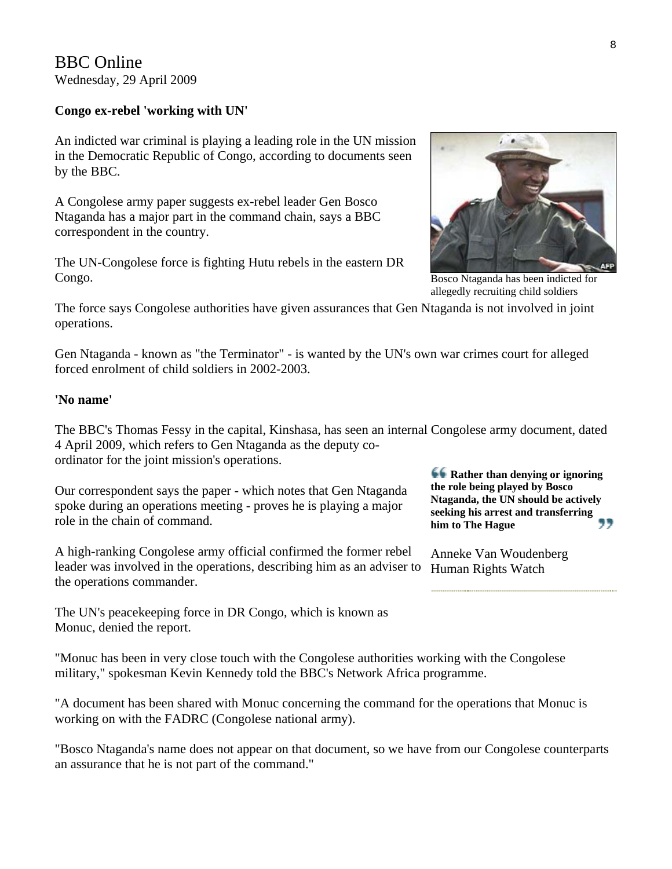BBC Online Wednesday, 29 April 2009

#### **Congo ex-rebel 'working with UN'**

An indicted war criminal is playing a leading role in the UN mission in the Democratic Republic of Congo, according to documents seen by the BBC.

A Congolese army paper suggests ex-rebel leader Gen Bosco Ntaganda has a major part in the command chain, says a BBC correspondent in the country.

The UN-Congolese force is fighting Hutu rebels in the eastern DR Congo.



Bosco Ntaganda has been indicted for allegedly recruiting child soldiers

**Rather than denying or ignoring the role being played by Bosco Ntaganda, the UN should be actively seeking his arrest and transferring** 

,,

**him to The Hague**

Anneke Van Woudenberg Human Rights Watch

The force says Congolese authorities have given assurances that Gen Ntaganda is not involved in joint operations.

Gen Ntaganda - known as "the Terminator" - is wanted by the UN's own war crimes court for alleged forced enrolment of child soldiers in 2002-2003.

#### **'No name'**

The BBC's Thomas Fessy in the capital, Kinshasa, has seen an internal Congolese army document, dated 4 April 2009, which refers to Gen Ntaganda as the deputy coordinator for the joint mission's operations.

Our correspondent says the paper - which notes that Gen Ntaganda spoke during an operations meeting - proves he is playing a major role in the chain of command.

A high-ranking Congolese army official confirmed the former rebel leader was involved in the operations, describing him as an adviser to the operations commander.

The UN's peacekeeping force in DR Congo, which is known as Monuc, denied the report.

"Monuc has been in very close touch with the Congolese authorities working with the Congolese military," spokesman Kevin Kennedy told the BBC's Network Africa programme.

"A document has been shared with Monuc concerning the command for the operations that Monuc is working on with the FADRC (Congolese national army).

"Bosco Ntaganda's name does not appear on that document, so we have from our Congolese counterparts an assurance that he is not part of the command."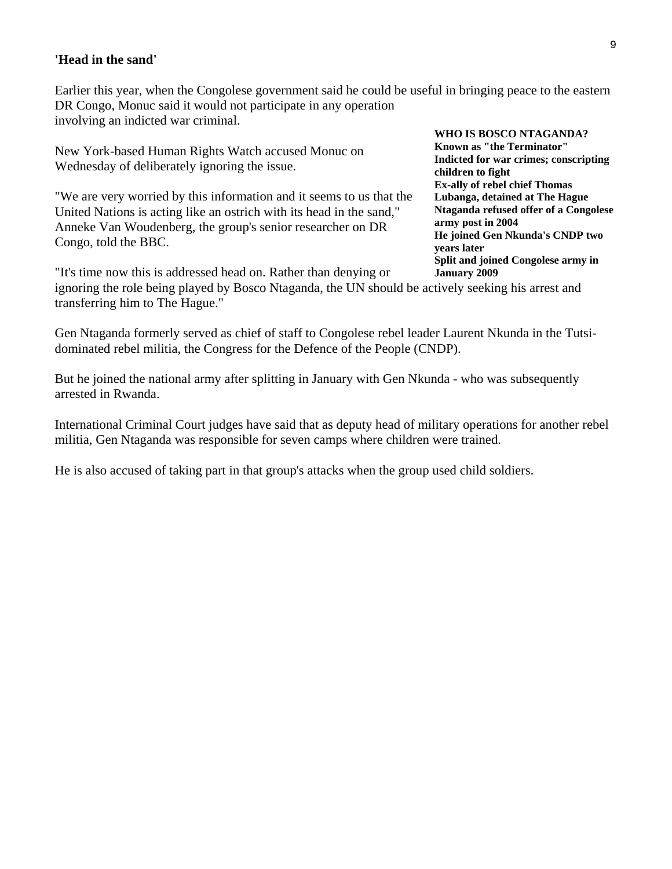#### **'Head in the sand'**

Earlier this year, when the Congolese government said he could be useful in bringing peace to the eastern DR Congo, Monuc said it would not participate in any operation involving an indicted war criminal.

New York-based Human Rights Watch accused Monuc on Wednesday of deliberately ignoring the issue.

"We are very worried by this information and it seems to us that the United Nations is acting like an ostrich with its head in the sand," Anneke Van Woudenberg, the group's senior researcher on DR Congo, told the BBC.

**WHO IS BOSCO NTAGANDA? Known as "the Terminator" Indicted for war crimes; conscripting children to fight Ex-ally of rebel chief Thomas Lubanga, detained at The Hague Ntaganda refused offer of a Congolese army post in 2004 He joined Gen Nkunda's CNDP two years later Split and joined Congolese army in** 

"It's time now this is addressed head on. Rather than denying or ignoring the role being played by Bosco Ntaganda, the UN should be actively seeking his arrest and transferring him to The Hague." **January 2009**

Gen Ntaganda formerly served as chief of staff to Congolese rebel leader Laurent Nkunda in the Tutsidominated rebel militia, the Congress for the Defence of the People (CNDP).

But he joined the national army after splitting in January with Gen Nkunda - who was subsequently arrested in Rwanda.

International Criminal Court judges have said that as deputy head of military operations for another rebel militia, Gen Ntaganda was responsible for seven camps where children were trained.

He is also accused of taking part in that group's attacks when the group used child soldiers.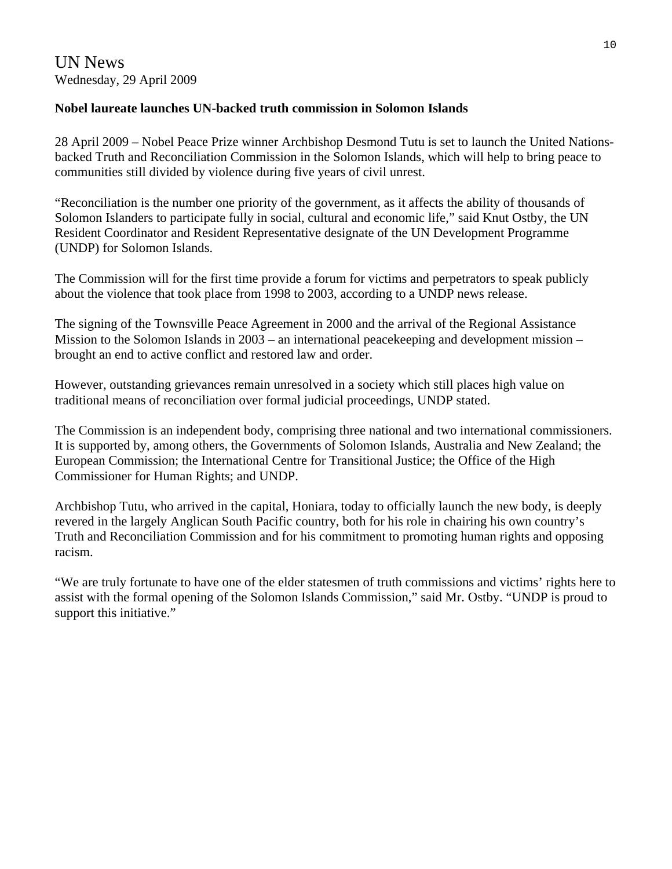# UN News Wednesday, 29 April 2009

#### **Nobel laureate launches UN-backed truth commission in Solomon Islands**

28 April 2009 – Nobel Peace Prize winner Archbishop Desmond Tutu is set to launch the United Nationsbacked Truth and Reconciliation Commission in the Solomon Islands, which will help to bring peace to communities still divided by violence during five years of civil unrest.

"Reconciliation is the number one priority of the government, as it affects the ability of thousands of Solomon Islanders to participate fully in social, cultural and economic life," said Knut Ostby, the UN Resident Coordinator and Resident Representative designate of the UN Development Programme ([UNDP\)](http://content.undp.org/go/newsroom/2009/april/archbishop-tutu-opens-solomon-islands-truth-and-reconciliation-commission.en) for Solomon Islands.

The Commission will for the first time provide a forum for victims and perpetrators to speak publicly about the violence that took place from 1998 to 2003, according to a UNDP news release.

The signing of the Townsville Peace Agreement in 2000 and the arrival of the Regional Assistance Mission to the Solomon Islands in 2003 – an international peacekeeping and development mission – brought an end to active conflict and restored law and order.

However, outstanding grievances remain unresolved in a society which still places high value on traditional means of reconciliation over formal judicial proceedings, UNDP stated.

The Commission is an independent body, comprising three national and two international commissioners. It is supported by, among others, the Governments of Solomon Islands, Australia and New Zealand; the European Commission; the International Centre for Transitional Justice; the Office of the High Commissioner for Human Rights; and UNDP.

Archbishop Tutu, who arrived in the capital, Honiara, today to officially launch the new body, is deeply revered in the largely Anglican South Pacific country, both for his role in chairing his own country's Truth and Reconciliation Commission and for his commitment to promoting human rights and opposing racism.

"We are truly fortunate to have one of the elder statesmen of truth commissions and victims' rights here to assist with the formal opening of the Solomon Islands Commission," said Mr. Ostby. "UNDP is proud to support this initiative."